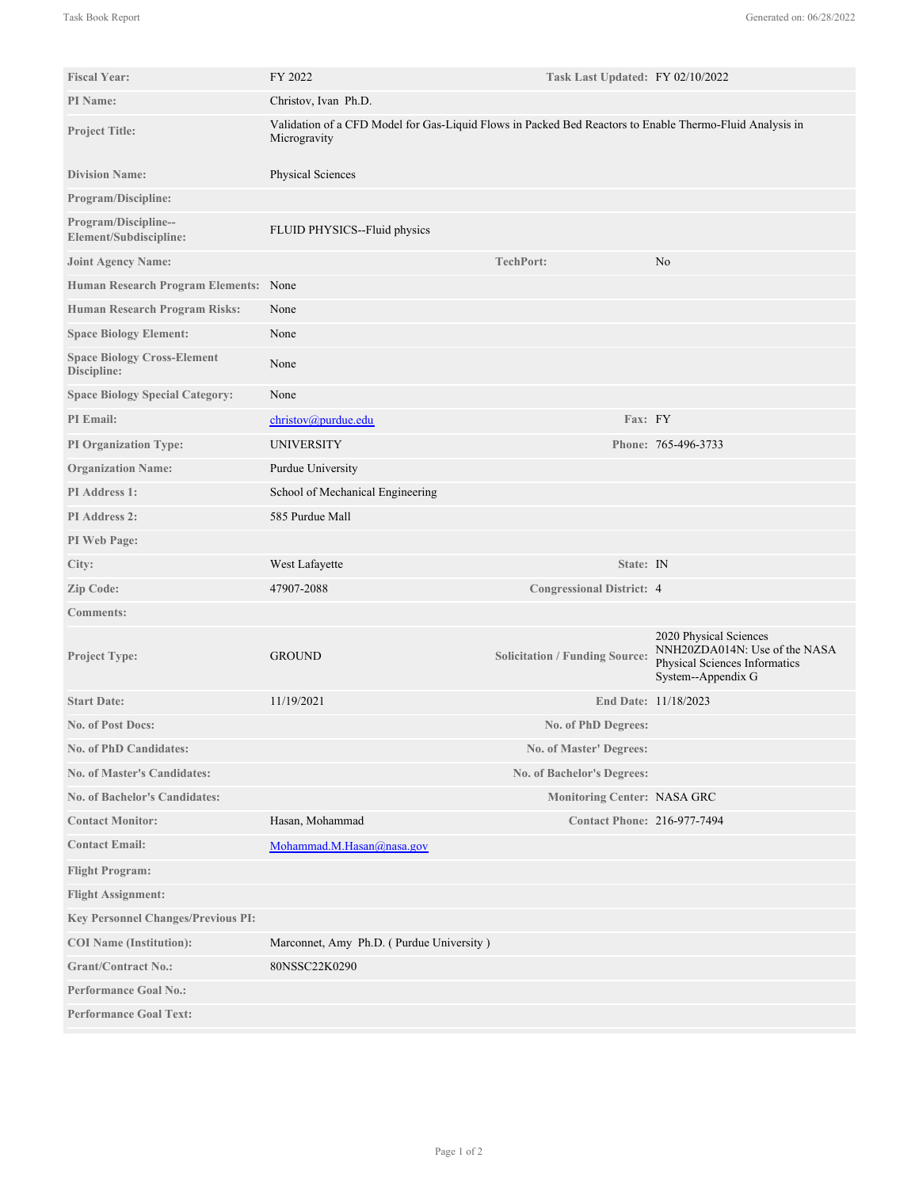| <b>Fiscal Year:</b>                               | FY 2022                                                                                                                  | Task Last Updated: FY 02/10/2022      |                                                                                                                |
|---------------------------------------------------|--------------------------------------------------------------------------------------------------------------------------|---------------------------------------|----------------------------------------------------------------------------------------------------------------|
| <b>PI</b> Name:                                   | Christov, Ivan Ph.D.                                                                                                     |                                       |                                                                                                                |
| <b>Project Title:</b>                             | Validation of a CFD Model for Gas-Liquid Flows in Packed Bed Reactors to Enable Thermo-Fluid Analysis in<br>Microgravity |                                       |                                                                                                                |
| <b>Division Name:</b>                             | Physical Sciences                                                                                                        |                                       |                                                                                                                |
| <b>Program/Discipline:</b>                        |                                                                                                                          |                                       |                                                                                                                |
| Program/Discipline--<br>Element/Subdiscipline:    | FLUID PHYSICS--Fluid physics                                                                                             |                                       |                                                                                                                |
| <b>Joint Agency Name:</b>                         |                                                                                                                          | TechPort:                             | No                                                                                                             |
| Human Research Program Elements: None             |                                                                                                                          |                                       |                                                                                                                |
| <b>Human Research Program Risks:</b>              | None                                                                                                                     |                                       |                                                                                                                |
| <b>Space Biology Element:</b>                     | None                                                                                                                     |                                       |                                                                                                                |
| <b>Space Biology Cross-Element</b><br>Discipline: | None                                                                                                                     |                                       |                                                                                                                |
| <b>Space Biology Special Category:</b>            | None                                                                                                                     |                                       |                                                                                                                |
| <b>PI</b> Email:                                  | $christov(a)$ purdue.edu                                                                                                 | Fax: FY                               |                                                                                                                |
| <b>PI Organization Type:</b>                      | <b>UNIVERSITY</b>                                                                                                        |                                       | Phone: 765-496-3733                                                                                            |
| <b>Organization Name:</b>                         | Purdue University                                                                                                        |                                       |                                                                                                                |
| PI Address 1:                                     | School of Mechanical Engineering                                                                                         |                                       |                                                                                                                |
| <b>PI</b> Address 2:                              | 585 Purdue Mall                                                                                                          |                                       |                                                                                                                |
| PI Web Page:                                      |                                                                                                                          |                                       |                                                                                                                |
| City:                                             | West Lafayette                                                                                                           | State: IN                             |                                                                                                                |
| Zip Code:                                         | 47907-2088                                                                                                               | <b>Congressional District: 4</b>      |                                                                                                                |
| <b>Comments:</b>                                  |                                                                                                                          |                                       |                                                                                                                |
| Project Type:                                     | <b>GROUND</b>                                                                                                            | <b>Solicitation / Funding Source:</b> | 2020 Physical Sciences<br>NNH20ZDA014N: Use of the NASA<br>Physical Sciences Informatics<br>System--Appendix G |
| <b>Start Date:</b>                                | 11/19/2021                                                                                                               |                                       | End Date: 11/18/2023                                                                                           |
| No. of Post Docs:                                 |                                                                                                                          | No. of PhD Degrees:                   |                                                                                                                |
| <b>No. of PhD Candidates:</b>                     |                                                                                                                          | No. of Master' Degrees:               |                                                                                                                |
| <b>No. of Master's Candidates:</b>                |                                                                                                                          | No. of Bachelor's Degrees:            |                                                                                                                |
| <b>No. of Bachelor's Candidates:</b>              |                                                                                                                          | <b>Monitoring Center: NASA GRC</b>    |                                                                                                                |
| <b>Contact Monitor:</b>                           | Hasan, Mohammad                                                                                                          | <b>Contact Phone: 216-977-7494</b>    |                                                                                                                |
| <b>Contact Email:</b>                             | Mohammad.M.Hasan@nasa.gov                                                                                                |                                       |                                                                                                                |
| <b>Flight Program:</b>                            |                                                                                                                          |                                       |                                                                                                                |
| <b>Flight Assignment:</b>                         |                                                                                                                          |                                       |                                                                                                                |
| <b>Key Personnel Changes/Previous PI:</b>         |                                                                                                                          |                                       |                                                                                                                |
| <b>COI</b> Name (Institution):                    | Marconnet, Amy Ph.D. (Purdue University)                                                                                 |                                       |                                                                                                                |
| <b>Grant/Contract No.:</b>                        | 80NSSC22K0290                                                                                                            |                                       |                                                                                                                |
| <b>Performance Goal No.:</b>                      |                                                                                                                          |                                       |                                                                                                                |
| <b>Performance Goal Text:</b>                     |                                                                                                                          |                                       |                                                                                                                |